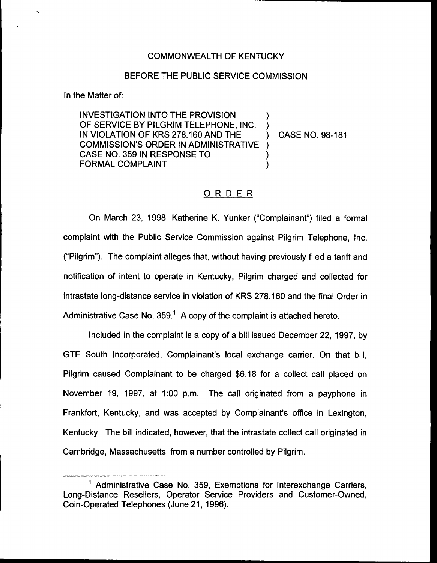# COMMONWEALTH OF KENTUCKY

# BEFORE THE PUBLIC SERVICE COMMISSION

In the Matter of:

INVESTIGATION INTO THE PROVISION OF SERVICE BY PILGRIM TELEPHONE, INC. IN VIOLATION OF KRS 278.160 AND THE COMMISSION'S ORDER IN ADMINISTRATIVE CASE NO. 359 IN RESPONSE TO FORMAL COMPLAINT ) ) ) ) )

) CASE NO. 98-181

# ORDER

On March 23, 1998, Katherine K. Yunker ("Complainant") filed a forma complaint with the Public Service Commission against Pilgrim Telephone, lnc. ("Pilgrim"). The complaint alleges that, without having previously filed a tariff and notification of intent to operate in Kentucky, Pilgrim charged and collected for intrastate long-distance service in violation of KRS 278.160 and the final Order in Administrative Case No.  $359<sup>1</sup>$  A copy of the complaint is attached hereto.

Included in the complaint is a copy of a bill issued December 22, 1997, by GTE South Incorporated, Complainant's local exchange carrier. On that bill, Pilgrim caused Complainant to be charged \$6.18 for a collect call placed on November 19, 199?, at 1:00 p.m. The call originated from a payphone in Frankfort, Kentucky, and was accepted by Complainant's office in Lexington, Kentucky. The bill indicated, however, that the intrastate collect call originated in Cambridge, Massachusetts, from a number controlled by Pilgrim.

 $<sup>1</sup>$  Administrative Case No. 359, Exemptions for Interexchange Carriers,</sup> Long-Distance Resellers, Operator Service Providers and Customer-Owned, Coin-Operated Telephones (June 21, 1996).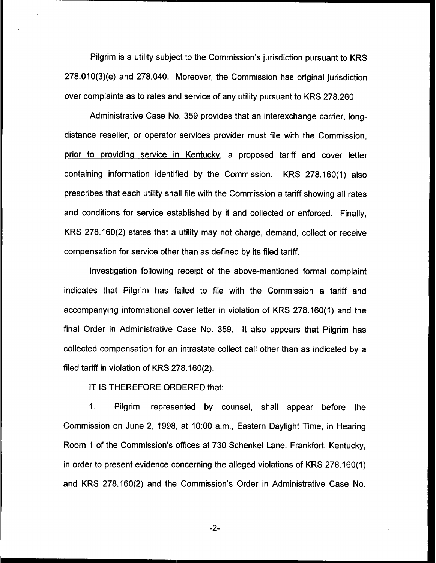Pilgrim is a utility subject to the Commission's jurisdiction pursuant to KRS 278.010(3)(e) and 278.040. Moreover, the Commission has original jurisdiction over complaints as to rates and service of any utility pursuant to KRS 278.260.

Administrative Case No. 359 provides that an interexchange carrier, longdistance reseller, or operator services provider must file with the Commission, prior to providing service in Kentucky, a proposed tariff and cover letter containing information identified by the Commission. KRS 278.160(1) also prescribes that each utility shall file with the Commission a tariff showing all rates and conditions for service established by it and collected or enforced. Finally, KRS 278.160(2) states that a utility may not charge, demand, collect or receive compensation for service other than as defined by its filed tariff.

Investigation following receipt of the above-mentioned formal complaint indicates that Pilgrim has failed to file with the Commission a tariff and accompanying informational cover letter in violation of KRS 278.160(1) and the final Order in Administrative Case No. 359. It also appears that Pilgrim has collected compensation for an intrastate collect call other than as indicated by a filed tariff in violation of KRS 278,160(2).

IT IS THEREFORE ORDERED that:

1. Pilgrim, represented by counsel, shall appear before the Commission on June 2, 1998, at 10:00 a.m., Eastern Daylight Time, in Hearing Room <sup>1</sup> of the Commission's offices at 730 Schenkel Lane, Frankfort, Kentucky, in order to present evidence concerning the alleged violations of KRS 278.160(1) and KRS 278.160(2) and the Commission's Order in Administrative Case No.

-2-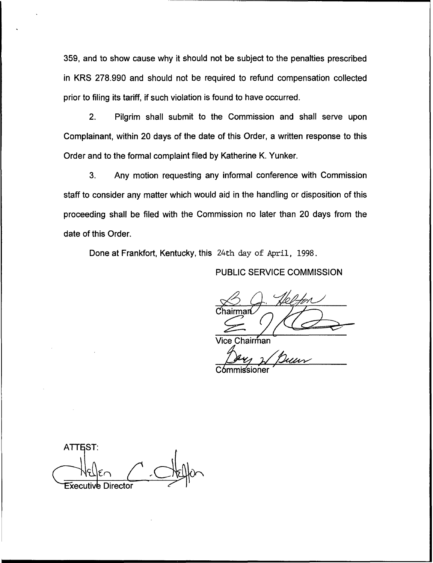359, and to show cause why it should not be subject to the penalties prescribed in KRS 278.990 and should not be required to refund compensation collected prior to filing its tariff, if such violation is found to have occurred.

2. Pilgrim shall submit to the Commission and shall serve upon Complainant, within 20 days of the date of this Order, a written response to this Order and to the formal complaint filed by Katherine K. Yunker.

3. Any motion requesting any informal conference with Commission staff to consider any matter which would aid in the handling or disposition of this proceeding shall be filed with the Commission no later than 20 days from the date of this Order.

Done at Frankfort, Kentucky, this 24th day of April, 1998.

# PUBLIC SERVICE COMMISSION

Chairmarú

hairṁan

ıssıoner

**ATTEST: Executive Director**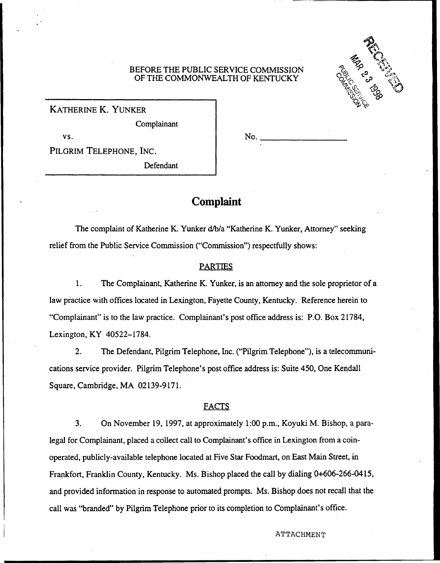## BEFORE THE PUBLIC SERVICE COMMISSION OF THE COMMONWEALTH OF KENTUCKY

No.



KATHERINE K. YUNKER

Complainant

vs.

PILGRIM TELEPHONE, INC.

Defendant

# Complaint

The complaint of Katherine K. Yunker d/b/a "Katherine K. Yunker, Attorney" seeking relief from the Public Service Commission ("Commission") respectfully shows:

# PARTIES

1. The Complainant, Katherine K. Yunker, is an attorney and the sole proprietor of a law practice with offices located in Lexington, Fayette County, Kentucky. Reference herein to "Complainant" is to the law practice. Complainant's post office address is: P.O. Box 21784, Lexington, KY 40522-1784.

2. The Defendant, Pilgrim Telephone, Inc. ("Pilgrim Telephone"), is a telecommunications service provider. Pilgrim Telephone's post office address is: Suite 450, One Kendall Square, Cambridge, MA 02139-9171.

# FACTS

3. On November 19, 1997, at approximately 1:00 p.m., Koyuki M. Bishop, a paralegal for Complainant, placed a collect call to Complainant's office in Lexington from a coinoperated, publicly-available telephone located at Five Star Foodmart, on East Main Street, in Frankfort, Franklin County, Kentucky. Ms. Bishop placed the call by dialing 0+606-266-0415, and provided information in response to automated prompts. Ms. Bishop does not recall that the call was "branded" by Pilgrim Telephone prior to its completion to Complainant's office.

### ATTACHMENT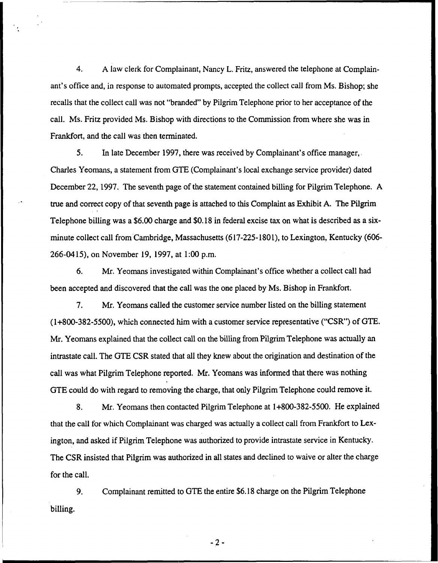4. A law clerk for Complainant, Nancy L. Fritz, answered the telephone at Complainant's office and, in response to automated prompts, accepted the collect call from Ms. Bishop; she recalls that the collect call was not "branded" by Pilgrim Telephone prior to her acceptance of the call. Ms. Fritz provided Ms. Bishop with directions to the Commission from where she was in Frankfort, and the call was then terminated.

5. In late December 1997, there was received by Complainant's office manager, Charles Yeomans, a statement from GTE (Complainant's local exchange service provider) dated December 22, 1997. The seventh page of the statement contained billing for Pilgrim Telephone. A true and correct copy of that seventh page is attached to this Complaint as Exhibit A. The Pilgrim Telephone billing was a \$6.00 charge and \$0.18 in federal excise tax on what is described as a sixminute collect call from Cambridge, Massachusetts (617-225-1801), to Lexington, Kentucky (606-266-0415), on November 19, 1997, at 1:00 p.m.

6. Mr. Yeomans investigated within Complainant's office whether a collect call had been accepted and discovered that the call was the one placed by Ms. Bishop in Frankfort.

7. Mr. Yeomans called the customer service number listed on the billing statement (1+800-382-5500), which connected him with a customer service representative ("CSR")of GTE. Mr. Yeomans explained that the collect call on the billing from Pilgrim Telephone was actually an intrastate call. The GTE CSR stated that all they knew about the origination and destination of the call was what Pilgrim Telephone reported. Mr. Yeomans was informed that there was nothing GTE could do with regard to removing the charge, that only Pilgrim Telephone could remove it.

8. Mr. Yeomans then contacted Pilgrim Telephone at 1+800-382-5500. He explained that the call for which Complainant was charged was actually a collect call from Frankfort to Lexington, and asked if Pilgrim Telephone was authorized to provide intrastate service in Kentucky. The CSR insisted that Pilgrim was authorized in all states and declined to waive or alter the charge for the call.

 $9<sub>1</sub>$ Complainant remitted to GTE the entire \$6.18 charge on the Pilgrim Telephone billing.

 $-2-$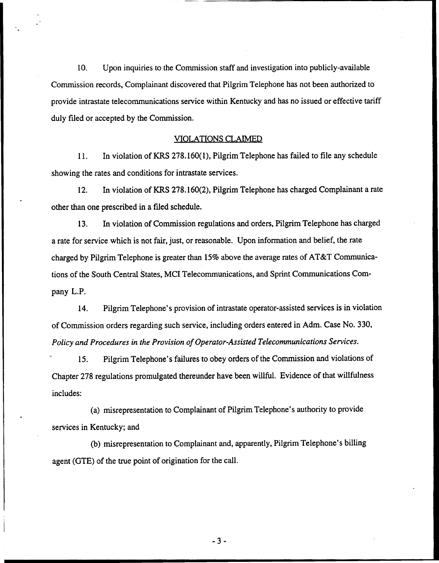10. Upon inquiries to the Commission staff and investigation into publicly-available Commission records, Complainant discovered that Pilgrim Telephone has not been authorized to provide intrastate telecommunications service within Kentucky and has no issued or effective tariff duly filed or accepted by the Commission.

## VIOLATIONS CLAIMED

11. In violation of KRS 278.160(1), Pilgrim Telephone has failed to file any schedule showing the rates and conditions for intrastate services.

12. In violation of KRS 278.160(2), Pilgrim Telephone has charged Complainant a rate other than one prescribed in a filed schedule.

13. In violation of Commission regulations and orders, Pilgrim Telephone has charged a rate for service which is not fair, just, or reasonable. Upon information and belief, the rate charged by Pilgrim Telephone is greater than 15% above the average rates of AT&T Communications of the South Central States, MCI Telecommunications, and Sprint Communications Company L.P.

14. Pilgrim Telephone's provision of intrastate operator-assisted services is in violation of Commission orders regarding such service, including orders entered in Adm. Case No. 330, Policy and Procedures in the Provision of Operator-Assisted Telecommunications Services.

15. Pilgrim Telephone's failures to obey orders of the Commission and violations of Chapter 278 regulations promulgated thereunder have been willful. Evidence of that willfulness includes:

(a) misrepresentation to Complainant of Pilgrim Telephone's authority to provide services in Kentucky; and

(b} misrepresentation to Complainant and, apparently, Pilgrim Telephone's billing agent (GTE) of the true point of origination for the call.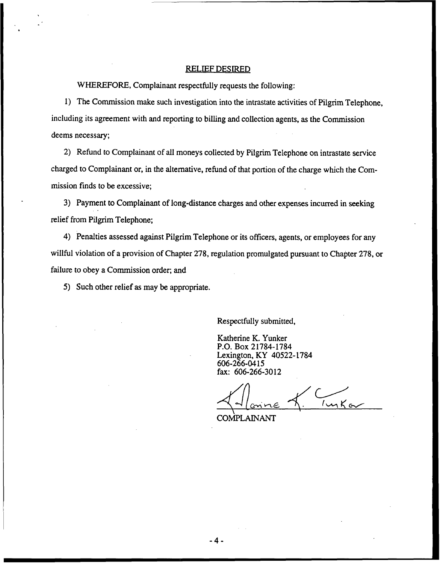## RELIEF DESIRED

WHEREFORE, Complainant respectfully requests the following:

1) The Commission make such investigation into the intrastate activities of Pilgrim Telephone, including its agreement with and reporting to billing and collection agents, as the Commission deems necessary;

2) Refund to Complainant of all moneys collected by Pilgrim Telephone on intrastate service charged to Complainant or, in the alternative, refund of that portion of the charge which the Commission finds to be excessive;

3) Payment to Complainant of long-distance charges and other expenses incurred in seeking relief from Pilgrim Telephone;

4) Penalties assessed against Pilgrim Telephone or its officers, agents, or employees for any willful violation of a provision of Chapter 278, regulation promulgated pursuant to Chapter 278, or failure to obey a Commission order; and

5) Such other relief as may be appropriate.

Respectfully submitted,

Katherine K. Yunker P.O. Box 21784-1784 Lexington, KY 40522-1784 606-266-0415 fax: 606-266-3012

 $T_{\text{unK}}$ <u>cnine</u>

COMPLAINANT